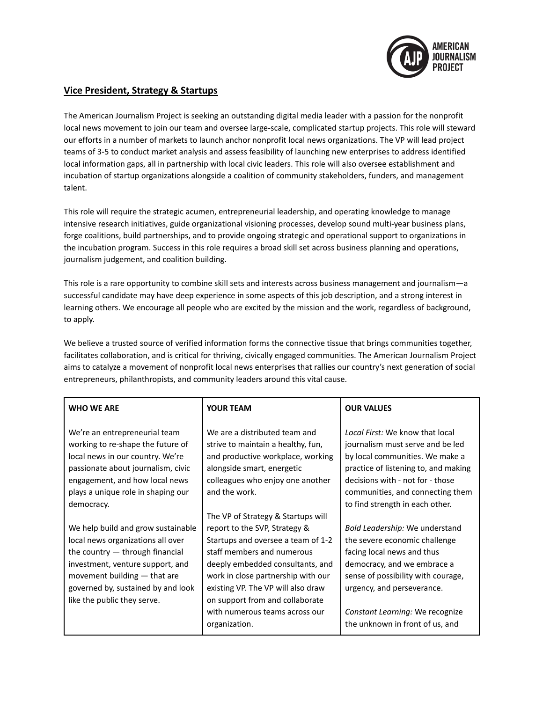

## **Vice President, Strategy & Startups**

The American Journalism Project is seeking an outstanding digital media leader with a passion for the nonprofit local news movement to join our team and oversee large-scale, complicated startup projects. This role will steward our efforts in a number of markets to launch anchor nonprofit local news organizations. The VP will lead project teams of 3-5 to conduct market analysis and assess feasibility of launching new enterprises to address identified local information gaps, all in partnership with local civic leaders. This role will also oversee establishment and incubation of startup organizations alongside a coalition of community stakeholders, funders, and management talent.

This role will require the strategic acumen, entrepreneurial leadership, and operating knowledge to manage intensive research initiatives, guide organizational visioning processes, develop sound multi-year business plans, forge coalitions, build partnerships, and to provide ongoing strategic and operational support to organizations in the incubation program. Success in this role requires a broad skill set across business planning and operations, journalism judgement, and coalition building.

This role is a rare opportunity to combine skill sets and interests across business management and journalism—a successful candidate may have deep experience in some aspects of this job description, and a strong interest in learning others. We encourage all people who are excited by the mission and the work, regardless of background, to apply.

We believe a trusted source of verified information forms the connective tissue that brings communities together, facilitates collaboration, and is critical for thriving, civically engaged communities. The American Journalism Project aims to catalyze a movement of nonprofit local news enterprises that rallies our country's next generation of social entrepreneurs, philanthropists, and community leaders around this vital cause.

| <b>WHO WE ARE</b>                                                                                                                                                                                                                                       | <b>YOUR TEAM</b>                                                                                                                                                                                                                                                                                                                              | <b>OUR VALUES</b>                                                                                                                                                                                                                                                      |
|---------------------------------------------------------------------------------------------------------------------------------------------------------------------------------------------------------------------------------------------------------|-----------------------------------------------------------------------------------------------------------------------------------------------------------------------------------------------------------------------------------------------------------------------------------------------------------------------------------------------|------------------------------------------------------------------------------------------------------------------------------------------------------------------------------------------------------------------------------------------------------------------------|
| We're an entrepreneurial team<br>working to re-shape the future of<br>local news in our country. We're<br>passionate about journalism, civic<br>engagement, and how local news<br>plays a unique role in shaping our<br>democracy.                      | We are a distributed team and<br>strive to maintain a healthy, fun,<br>and productive workplace, working<br>alongside smart, energetic<br>colleagues who enjoy one another<br>and the work.                                                                                                                                                   | Local First: We know that local<br>journalism must serve and be led<br>by local communities. We make a<br>practice of listening to, and making<br>decisions with - not for - those<br>communities, and connecting them<br>to find strength in each other.              |
| We help build and grow sustainable<br>local news organizations all over<br>the country $-$ through financial<br>investment, venture support, and<br>movement building $-$ that are<br>governed by, sustained by and look<br>like the public they serve. | The VP of Strategy & Startups will<br>report to the SVP, Strategy &<br>Startups and oversee a team of 1-2<br>staff members and numerous<br>deeply embedded consultants, and<br>work in close partnership with our<br>existing VP. The VP will also draw<br>on support from and collaborate<br>with numerous teams across our<br>organization. | Bold Leadership: We understand<br>the severe economic challenge<br>facing local news and thus<br>democracy, and we embrace a<br>sense of possibility with courage,<br>urgency, and perseverance.<br>Constant Learning: We recognize<br>the unknown in front of us, and |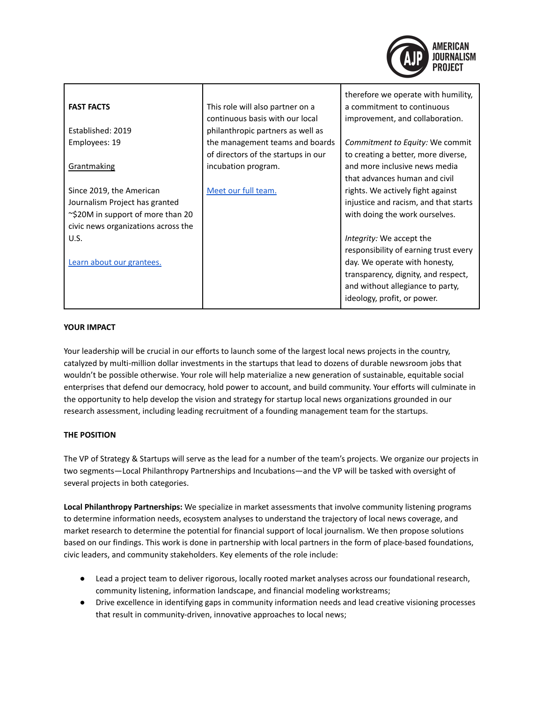| <b>FAST FACTS</b>                   | This role will also partner on a<br>continuous basis with our local    | therefore we operate with humility,<br>a commitment to continuous<br>improvement, and collaboration. |
|-------------------------------------|------------------------------------------------------------------------|------------------------------------------------------------------------------------------------------|
| Established: 2019                   | philanthropic partners as well as                                      |                                                                                                      |
| Employees: 19                       | the management teams and boards<br>of directors of the startups in our | Commitment to Equity: We commit<br>to creating a better, more diverse,                               |
| Grantmaking                         | incubation program.                                                    | and more inclusive news media<br>that advances human and civil                                       |
| Since 2019, the American            | Meet our full team.                                                    | rights. We actively fight against                                                                    |
| Journalism Project has granted      |                                                                        | injustice and racism, and that starts                                                                |
| ~\$20M in support of more than 20   |                                                                        | with doing the work ourselves.                                                                       |
| civic news organizations across the |                                                                        |                                                                                                      |
| U.S.                                |                                                                        | Integrity: We accept the<br>responsibility of earning trust every                                    |
| Learn about our grantees.           |                                                                        | day. We operate with honesty,                                                                        |
|                                     |                                                                        | transparency, dignity, and respect,                                                                  |
|                                     |                                                                        | and without allegiance to party,                                                                     |
|                                     |                                                                        | ideology, profit, or power.                                                                          |

## **YOUR IMPACT**

Your leadership will be crucial in our efforts to launch some of the largest local news projects in the country, catalyzed by multi-million dollar investments in the startups that lead to dozens of durable newsroom jobs that wouldn't be possible otherwise. Your role will help materialize a new generation of sustainable, equitable social enterprises that defend our democracy, hold power to account, and build community. Your efforts will culminate in the opportunity to help develop the vision and strategy for startup local news organizations grounded in our research assessment, including leading recruitment of a founding management team for the startups.

## **THE POSITION**

The VP of Strategy & Startups will serve as the lead for a number of the team's projects. We organize our projects in two segments—Local Philanthropy Partnerships and Incubations—and the VP will be tasked with oversight of several projects in both categories.

**Local Philanthropy Partnerships:** We specialize in market assessments that involve community listening programs to determine information needs, ecosystem analyses to understand the trajectory of local news coverage, and market research to determine the potential for financial support of local journalism. We then propose solutions based on our findings. This work is done in partnership with local partners in the form of place-based foundations, civic leaders, and community stakeholders. Key elements of the role include:

- Lead a project team to deliver rigorous, locally rooted market analyses across our foundational research, community listening, information landscape, and financial modeling workstreams;
- Drive excellence in identifying gaps in community information needs and lead creative visioning processes that result in community-driven, innovative approaches to local news;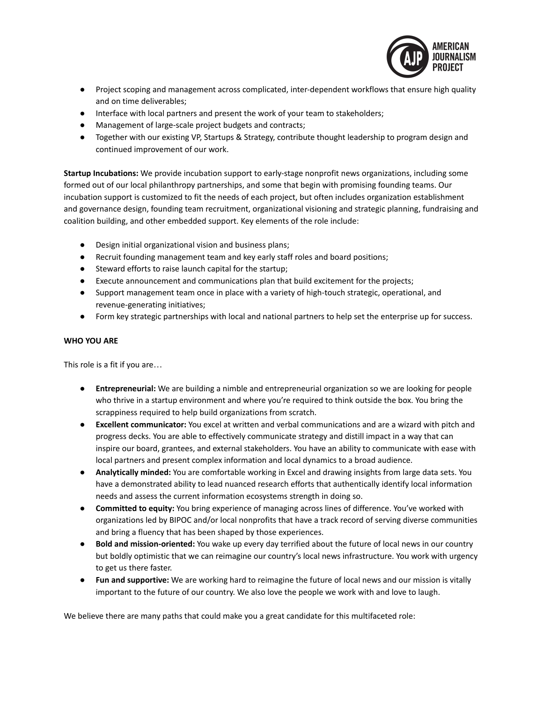

- Project scoping and management across complicated, inter-dependent workflows that ensure high quality and on time deliverables;
- Interface with local partners and present the work of your team to stakeholders;
- Management of large-scale project budgets and contracts;
- Together with our existing VP, Startups & Strategy, contribute thought leadership to program design and continued improvement of our work.

**Startup Incubations:** We provide incubation support to early-stage nonprofit news organizations, including some formed out of our local philanthropy partnerships, and some that begin with promising founding teams. Our incubation support is customized to fit the needs of each project, but often includes organization establishment and governance design, founding team recruitment, organizational visioning and strategic planning, fundraising and coalition building, and other embedded support. Key elements of the role include:

- Design initial organizational vision and business plans;
- Recruit founding management team and key early staff roles and board positions;
- Steward efforts to raise launch capital for the startup;
- Execute announcement and communications plan that build excitement for the projects;
- Support management team once in place with a variety of high-touch strategic, operational, and revenue-generating initiatives;
- Form key strategic partnerships with local and national partners to help set the enterprise up for success.

## **WHO YOU ARE**

This role is a fit if you are…

- **Entrepreneurial:** We are building a nimble and entrepreneurial organization so we are looking for people who thrive in a startup environment and where you're required to think outside the box. You bring the scrappiness required to help build organizations from scratch.
- **Excellent communicator:** You excel at written and verbal communications and are a wizard with pitch and progress decks. You are able to effectively communicate strategy and distill impact in a way that can inspire our board, grantees, and external stakeholders. You have an ability to communicate with ease with local partners and present complex information and local dynamics to a broad audience.
- **Analytically minded:** You are comfortable working in Excel and drawing insights from large data sets. You have a demonstrated ability to lead nuanced research efforts that authentically identify local information needs and assess the current information ecosystems strength in doing so.
- **Committed to equity:** You bring experience of managing across lines of difference. You've worked with organizations led by BIPOC and/or local nonprofits that have a track record of serving diverse communities and bring a fluency that has been shaped by those experiences.
- **Bold and mission-oriented:** You wake up every day terrified about the future of local news in our country but boldly optimistic that we can reimagine our country's local news infrastructure. You work with urgency to get us there faster.
- **Fun and supportive:** We are working hard to reimagine the future of local news and our mission is vitally important to the future of our country. We also love the people we work with and love to laugh.

We believe there are many paths that could make you a great candidate for this multifaceted role: